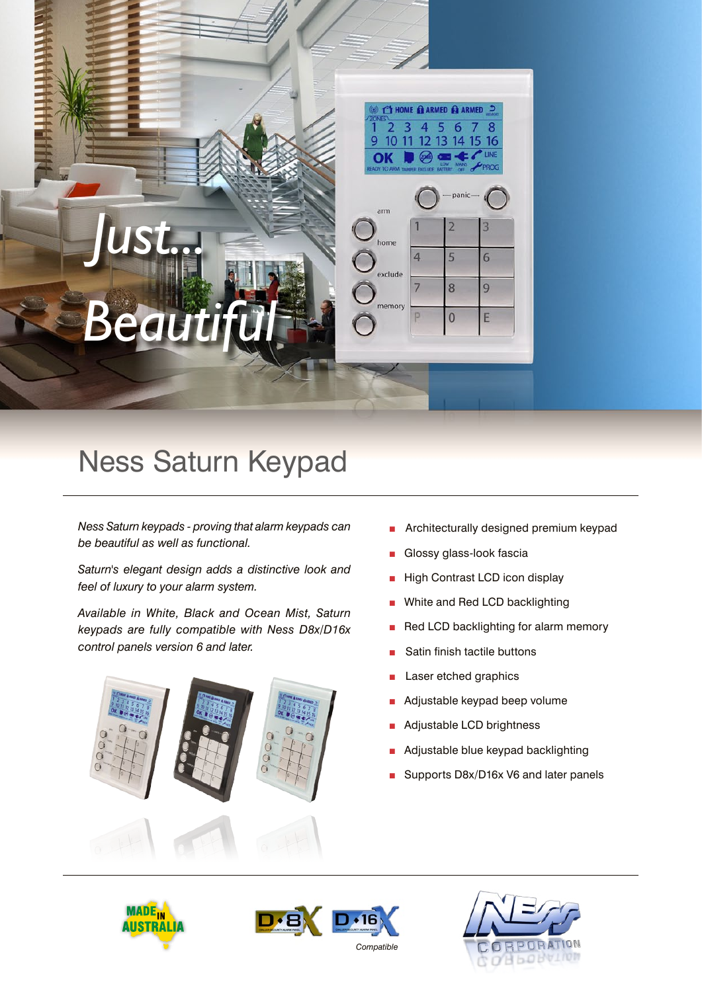



# Ness Saturn Keypad

*Ness Saturn keypads - proving that alarm keypads can be beautiful as well as functional.* 

*Saturn's elegant design adds a distinctive look and feel of luxury to your alarm system.*

*Available in White, Black and Ocean Mist, Saturn keypads are fully compatible with Ness D8x/D16x control panels version 6 and later.*



- Architecturally designed premium keypad
- Glossy glass-look fascia
- **High Contrast LCD icon display**
- White and Red LCD backlighting
- Red LCD backlighting for alarm memory
- Satin finish tactile buttons
- Laser etched graphics
- Adjustable keypad beep volume
- Adjustable LCD brightness
- Adjustable blue keypad backlighting
- Supports D8x/D16x V6 and later panels